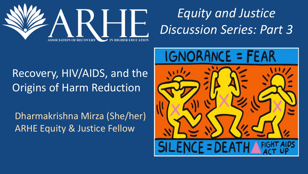

### *Equity and Justice Discussion Series: Part 3*

### Recovery, HIV/AIDS, and the Origins of Harm Reduction

Dharmakrishna Mirza (She/her) ARHE Equity & Justice Fellow

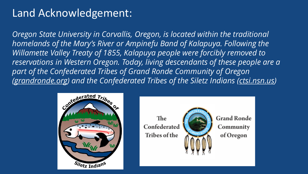### Land Acknowledgement:

*Oregon State University in Corvallis, Oregon, is located within the traditional homelands of the Mary's River or Ampinefu Band of Kalapuya. Following the Willamette Valley Treaty of 1855, Kalapuya people were forcibly removed to reservations in Western Oregon. Today, living descendants of these people are a part of the Confederated Tribes of Grand Ronde Community of Oregon [\(grandronde.org\)](https://www.grandronde.org/) and the Confederated Tribes of the Siletz Indians [\(ctsi.nsn.us\)](http://ctsi.nsn.us/)*



The Confederated Tribes of the



**Grand Ronde** Community of Oregon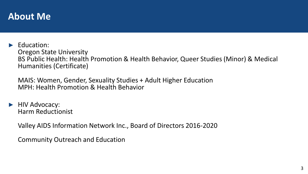#### **About Me**

► Education: Oregon State University BS Public Health: Health Promotion & Health Behavior, Queer Studies (Minor) & Medical Humanities (Certificate)

MAIS: Women, Gender, Sexuality Studies + Adult Higher Education MPH: Health Promotion & Health Behavior

► HIV Advocacy: Harm Reductionist

Valley AIDS Information Network Inc., Board of Directors 2016-2020

Community Outreach and Education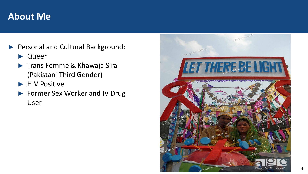#### **About Me**

- ► Personal and Cultural Background:
	- **Queer**
	- ► Trans Femme & Khawaja Sira (Pakistani Third Gender)
	- ► HIV Positive
	- ► Former Sex Worker and IV Drug User

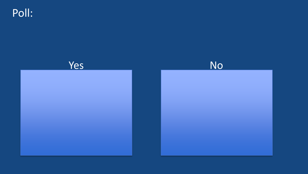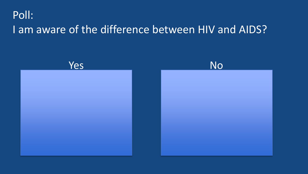### Poll: I am aware of the difference between HIV and AIDS?

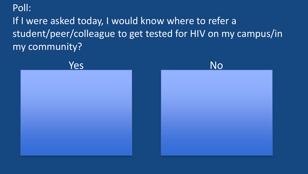### If I were asked today, I would know where to refer a student/peer/colleague to get tested for HIV on my campus/in my community?

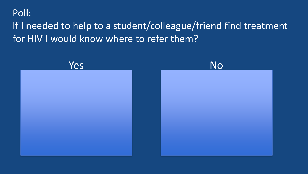### If I needed to help to a student/colleague/friend find treatment for HIV I would know where to refer them?

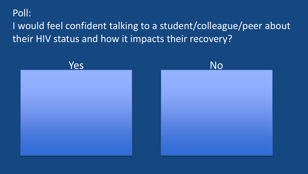### I would feel confident talking to a student/colleague/peer about their HIV status and how it impacts their recovery?

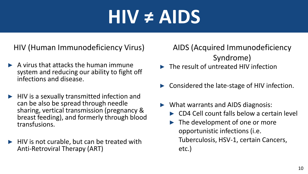### **HIV ≠ AIDS**

HIV (Human Immunodeficiency Virus)

- $\blacktriangleright$  A virus that attacks the human immune system and reducing our ability to fight off infections and disease.
- ► HIV is a sexually transmitted infection and can be also be spread through needle sharing, vertical transmission (pregnancy & breast feeding), and formerly through blood transfusions.
- ► HIV is not curable, but can be treated with Anti-Retroviral Therapy (ART)

AIDS (Acquired Immunodeficiency Syndrome)

- ► The result of untreated HIV infection
- Considered the late-stage of HIV infection.
- ► What warrants and AIDS diagnosis:
	- ► CD4 Cell count falls below a certain level
	- ► The development of one or more opportunistic infections (i.e. Tuberculosis, HSV-1, certain Cancers, etc.)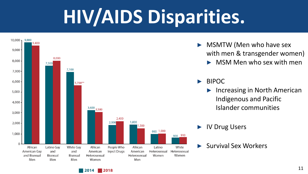# **HIV/AIDS Disparities.**



2014

- MSMTW (Men who have sex with men & transgender women)
	- ► MSM Men who sex with men

#### ► BIPOC

Increasing in North American Indigenous and Pacific Islander communities

► IV Drug Users

<sup>►</sup> Survival Sex Workers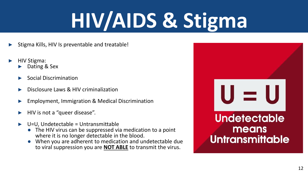# **HIV/AIDS & Stigma**

- Stigma Kills, HIV Is preventable and treatable!
- ► HIV Stigma:
	- Dating & Sex
	- ► Social Discrimination
	- Disclosure Laws & HIV criminalization
	- Employment, Immigration & Medical Discrimination
	- ► HIV is not a "queer disease".
	- ► U=U, Undetectable = Untransmittable
		- The HIV virus can be suppressed via medication to a point where it is no longer detectable in the blood.
		- When you are adherent to medication and undetectable due to viral suppression you are **NOT ABLE** to transmit the virus.

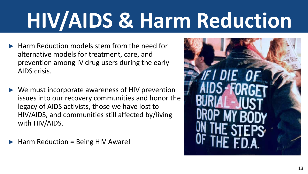# **HIV/AIDS & Harm Reduction**

- $\blacktriangleright$  Harm Reduction models stem from the need for alternative models for treatment, care, and prevention among IV drug users during the early AIDS crisis.
- $\triangleright$  We must incorporate awareness of HIV prevention issues into our recovery communities and honor the legacy of AIDS activists, those we have lost to HIV/AIDS, and communities still affected by/living with HIV/AIDS.
- ► Harm Reduction = Being HIV Aware!

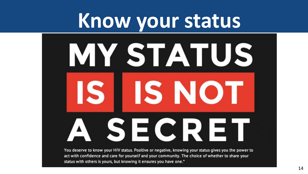## **Know your status**

# **MY STATUS IS IIS NOT** A SECRET

You deserve to know your HIV status. Positive or negative, knowing your status gives you the power to act with confidence and care for yourself and your community. The choice of whether to share your status with others is yours, but knowing it ensures you have one."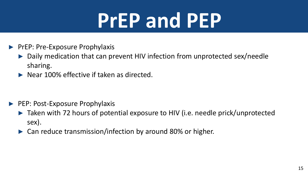# **PrEP and PEP**

- ► PrEP: Pre-Exposure Prophylaxis
	- ► Daily medication that can prevent HIV infection from unprotected sex/needle sharing.
	- $\blacktriangleright$  Near 100% effective if taken as directed.

- ► PEP: Post-Exposure Prophylaxis
	- ► Taken with 72 hours of potential exposure to HIV (i.e. needle prick/unprotected sex).
	- ► Can reduce transmission/infection by around 80% or higher.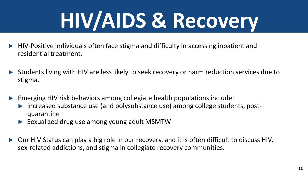# **HIV/AIDS & Recovery**

- ► HIV-Positive individuals often face stigma and difficulty in accessing inpatient and residential treatment.
- Students living with HIV are less likely to seek recovery or harm reduction services due to stigma.
- Emerging HIV risk behaviors among collegiate health populations include:
	- ► increased substance use (and polysubstance use) among college students, postquarantine
	- ► Sexualized drug use among young adult MSMTW
- Our HIV Status can play a big role in our recovery, and it is often difficult to discuss HIV, sex-related addictions, and stigma in collegiate recovery communities.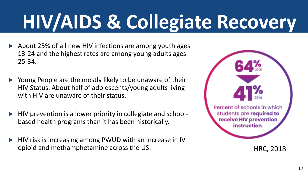# **HIV/AIDS & Collegiate Recovery**

- ► About 25% of all new HIV infections are among youth ages 13-24 and the highest rates are among young adults ages 25-34.
- ► Young People are the mostly likely to be unaware of their HIV Status. About half of adolescents/young adults living with HIV are unaware of their status.
- ► HIV prevention is a lower priority in collegiate and schoolbased health programs than it has been historically.
- HIV risk is increasing among PWUD with an increase in IV opioid and methamphetamine across the US.



HRC, 2018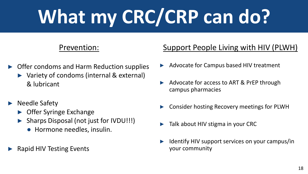# **What my CRC/CRP can do?**

#### Prevention:

- ► Offer condoms and Harm Reduction supplies
	- ► Variety of condoms (internal & external) & lubricant
- ► Needle Safety
	- ► Offer Syringe Exchange
	- ► Sharps Disposal (not just for IVDU!!!)
		- Hormone needles, insulin.
- ► Rapid HIV Testing Events

#### Support People Living with HIV (PLWH)

- ► Advocate for Campus based HIV treatment
- Advocate for access to ART & PrEP through campus pharmacies
- Consider hosting Recovery meetings for PLWH
- Talk about HIV stigma in your CRC
- Identify HIV support services on your campus/in your community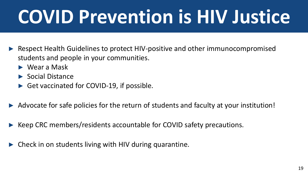# **COVID Prevention is HIV Justice**

- Respect Health Guidelines to protect HIV-positive and other immunocompromised students and people in your communities.
	- ► Wear a Mask
	- ► Social Distance
	- ► Get vaccinated for COVID-19, if possible.
- Advocate for safe policies for the return of students and faculty at your institution!
- Keep CRC members/residents accountable for COVID safety precautions.
- Check in on students living with HIV during quarantine.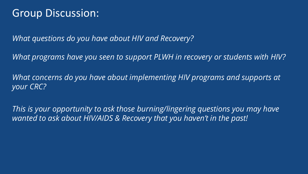### Group Discussion:

*What questions do you have about HIV and Recovery?* 

*What programs have you seen to support PLWH in recovery or students with HIV?* 

*What concerns do you have about implementing HIV programs and supports at your CRC?* 

*This is your opportunity to ask those burning/lingering questions you may have wanted to ask about HIV/AIDS & Recovery that you haven't in the past!*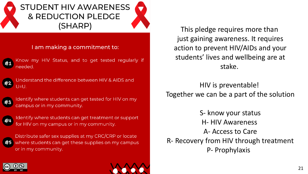#### **STUDENT HIV AWARENESS & REDUCTION PLEDGE** (SHARP)

#### I am making a commitment to:



Know my HIV Status, and to get tested regularly if needed.



Understand the difference between HIV & AIDS and  $U=U$ .



Identify where students can get tested for HIV on my campus or in my community.



Identify where students can get treatment or support for HIV on my campus or in my community.

Distribute safer sex supplies at my CRC/CRP or locate where students can get these supplies on my campus or in my community.

This pledge requires more than just gaining awareness. It requires action to prevent HIV/AIDs and your students' lives and wellbeing are at stake.

HIV is preventable! Together we can be a part of the solution

S- know your status H- HIV Awareness A- Access to Care R- Recovery from HIV through treatment P- Prophylaxis